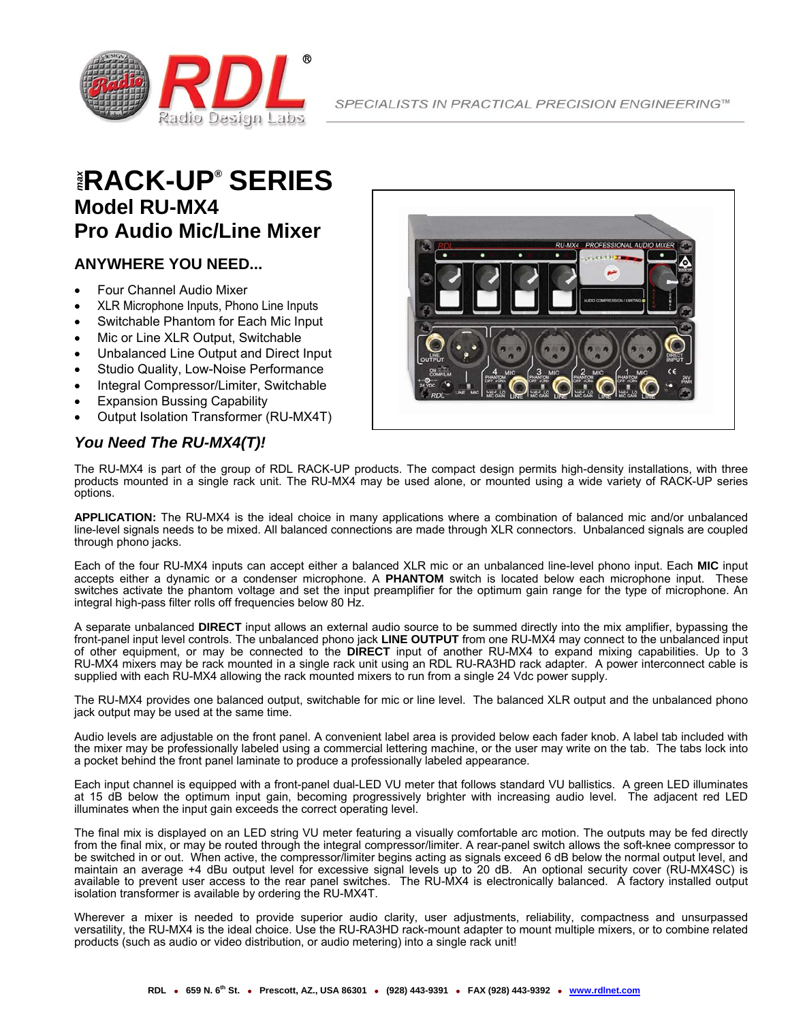

## $^{\text{R}}$ RACK-UP® SERIES **Model RU-MX4 Pro Audio Mic/Line Mixer**

## **ANYWHERE YOU NEED...**

- Four Channel Audio Mixer
- XLR Microphone Inputs, Phono Line Inputs
- Switchable Phantom for Each Mic Input
- Mic or Line XLR Output, Switchable
- Unbalanced Line Output and Direct Input
- Studio Quality, Low-Noise Performance
- Integral Compressor/Limiter, Switchable
- **Expansion Bussing Capability**
- Output Isolation Transformer (RU-MX4T)



## *You Need The RU-MX4(T)!*

The RU-MX4 is part of the group of RDL RACK-UP products. The compact design permits high-density installations, with three products mounted in a single rack unit. The RU-MX4 may be used alone, or mounted using a wide variety of RACK-UP series options.

**APPLICATION:** The RU-MX4 is the ideal choice in many applications where a combination of balanced mic and/or unbalanced line-level signals needs to be mixed. All balanced connections are made through XLR connectors. Unbalanced signals are coupled through phono jacks.

Each of the four RU-MX4 inputs can accept either a balanced XLR mic or an unbalanced line-level phono input. Each **MIC** input accepts either a dynamic or a condenser microphone. A **PHANTOM** switch is located below each microphone input. These switches activate the phantom voltage and set the input preamplifier for the optimum gain range for the type of microphone. An integral high-pass filter rolls off frequencies below 80 Hz.

A separate unbalanced **DIRECT** input allows an external audio source to be summed directly into the mix amplifier, bypassing the front-panel input level controls. The unbalanced phono jack **LINE OUTPUT** from one RU-MX4 may connect to the unbalanced input of other equipment, or may be connected to the **DIRECT** input of another RU-MX4 to expand mixing capabilities. Up to 3 RU-MX4 mixers may be rack mounted in a single rack unit using an RDL RU-RA3HD rack adapter. A power interconnect cable is supplied with each RU-MX4 allowing the rack mounted mixers to run from a single 24 Vdc power supply.

The RU-MX4 provides one balanced output, switchable for mic or line level. The balanced XLR output and the unbalanced phono jack output may be used at the same time.

Audio levels are adjustable on the front panel. A convenient label area is provided below each fader knob. A label tab included with the mixer may be professionally labeled using a commercial lettering machine, or the user may write on the tab. The tabs lock into a pocket behind the front panel laminate to produce a professionally labeled appearance.

Each input channel is equipped with a front-panel dual-LED VU meter that follows standard VU ballistics. A green LED illuminates at 15 dB below the optimum input gain, becoming progressively brighter with increasing audio level. The adjacent red LED illuminates when the input gain exceeds the correct operating level.

The final mix is displayed on an LED string VU meter featuring a visually comfortable arc motion. The outputs may be fed directly from the final mix, or may be routed through the integral compressor/limiter. A rear-panel switch allows the soft-knee compressor to be switched in or out. When active, the compressor/limiter begins acting as signals exceed 6 dB below the normal output level, and maintain an average +4 dBu output level for excessive signal levels up to 20 dB. An optional security cover (RU-MX4SC) is available to prevent user access to the rear panel switches. The RU-MX4 is electronically balanced. A factory installed output isolation transformer is available by ordering the RU-MX4T.

Wherever a mixer is needed to provide superior audio clarity, user adjustments, reliability, compactness and unsurpassed versatility, the RU-MX4 is the ideal choice. Use the RU-RA3HD rack-mount adapter to mount multiple mixers, or to combine related products (such as audio or video distribution, or audio metering) into a single rack unit!